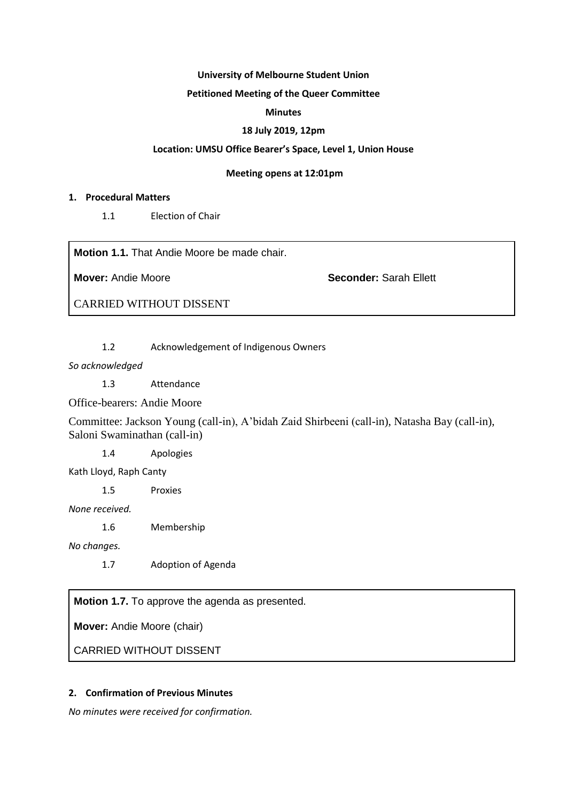#### **University of Melbourne Student Union**

## **Petitioned Meeting of the Queer Committee**

## **Minutes**

## **18 July 2019, 12pm**

## **Location: UMSU Office Bearer's Space, Level 1, Union House**

#### **Meeting opens at 12:01pm**

#### **1. Procedural Matters**

1.1 Election of Chair

**Motion 1.1.** That Andie Moore be made chair.

**Mover:** Andie Moore **Seconder:** Sarah Ellett

CARRIED WITHOUT DISSENT

1.2 Acknowledgement of Indigenous Owners

*So acknowledged*

1.3 Attendance

Office-bearers: Andie Moore

Committee: Jackson Young (call-in), A'bidah Zaid Shirbeeni (call-in), Natasha Bay (call-in), Saloni Swaminathan (call-in)

1.4 Apologies

Kath Lloyd, Raph Canty

1.5 Proxies

*None received.*

1.6 Membership

*No changes.*

1.7 Adoption of Agenda

**Motion 1.7.** To approve the agenda as presented.

**Mover:** Andie Moore (chair)

CARRIED WITHOUT DISSENT

## **2. Confirmation of Previous Minutes**

*No minutes were received for confirmation.*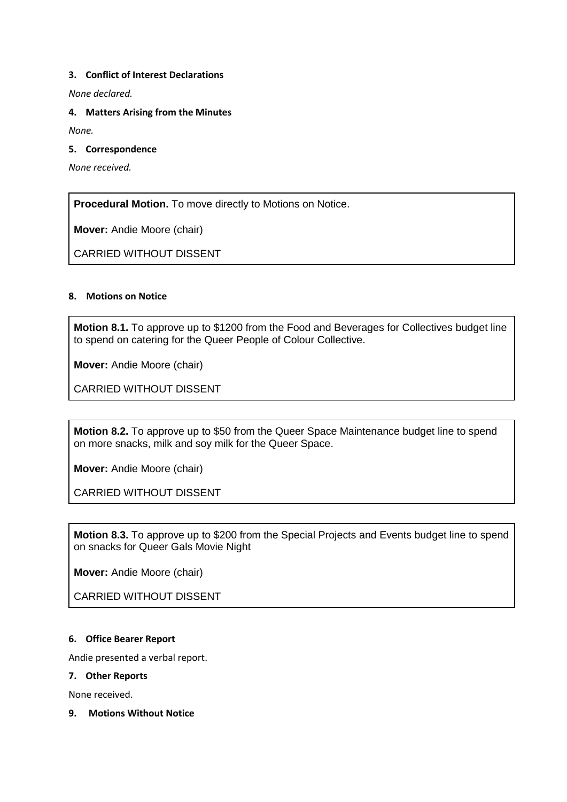## **3. Conflict of Interest Declarations**

*None declared.*

**4. Matters Arising from the Minutes**

*None.*

**5. Correspondence**

*None received.*

**Procedural Motion.** To move directly to Motions on Notice.

**Mover:** Andie Moore (chair)

CARRIED WITHOUT DISSENT

## **8. Motions on Notice**

**Motion 8.1.** To approve up to \$1200 from the Food and Beverages for Collectives budget line to spend on catering for the Queer People of Colour Collective.

**Mover:** Andie Moore (chair)

CARRIED WITHOUT DISSENT

**Motion 8.2.** To approve up to \$50 from the Queer Space Maintenance budget line to spend on more snacks, milk and soy milk for the Queer Space.

**Mover:** Andie Moore (chair)

CARRIED WITHOUT DISSENT

**Motion 8.3.** To approve up to \$200 from the Special Projects and Events budget line to spend on snacks for Queer Gals Movie Night

**Mover:** Andie Moore (chair)

CARRIED WITHOUT DISSENT

#### **6. Office Bearer Report**

Andie presented a verbal report.

#### **7. Other Reports**

None received.

**9. Motions Without Notice**